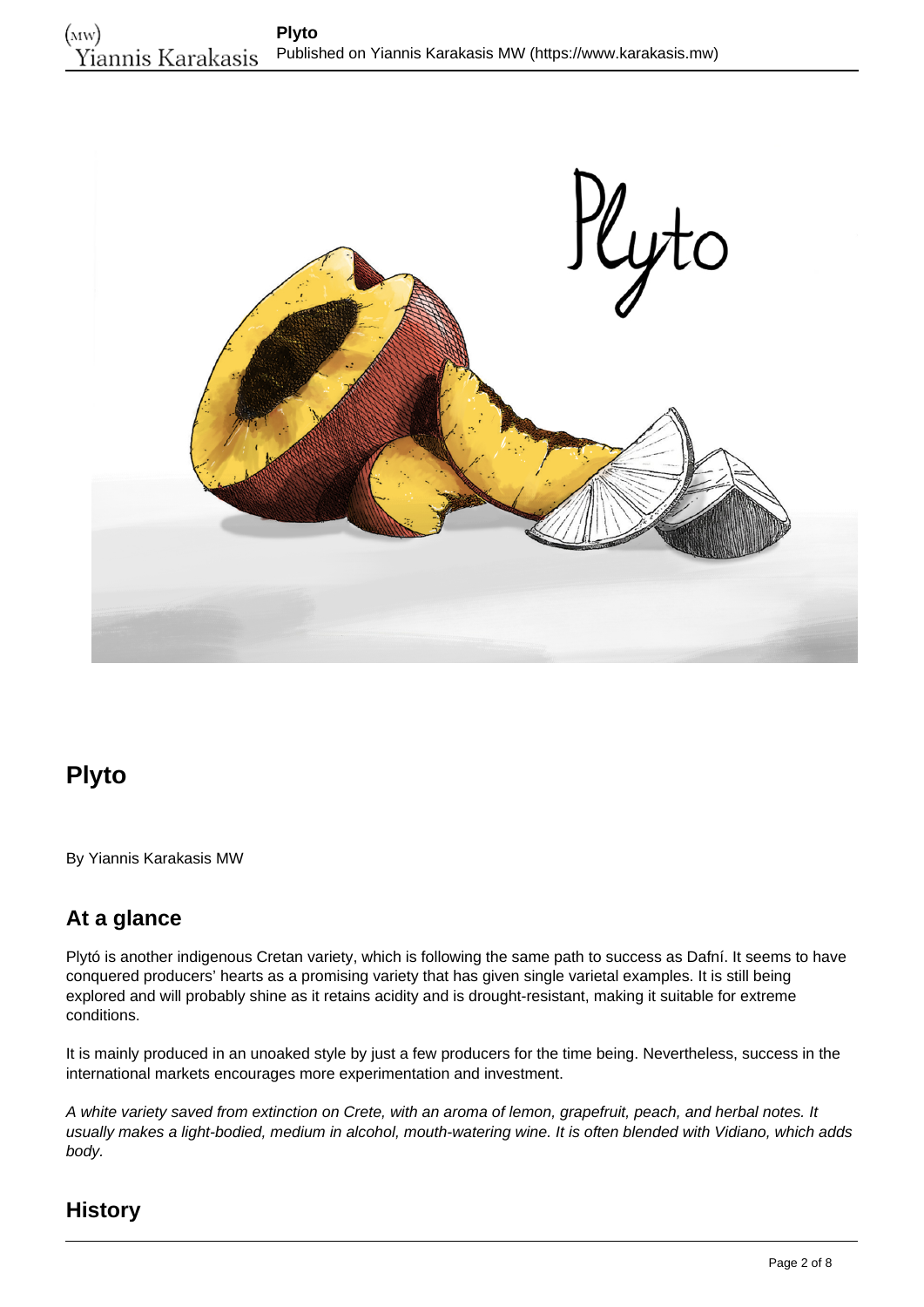

# **Plyto**

By Yiannis Karakasis MW

## **At a glance**

Plytó is another indigenous Cretan variety, which is following the same path to success as Dafní. It seems to have conquered producers' hearts as a promising variety that has given single varietal examples. It is still being explored and will probably shine as it retains acidity and is drought-resistant, making it suitable for extreme conditions.

It is mainly produced in an unoaked style by just a few producers for the time being. Nevertheless, success in the international markets encourages more experimentation and investment.

A white variety saved from extinction on Crete, with an aroma of lemon, grapefruit, peach, and herbal notes. It usually makes a light-bodied, medium in alcohol, mouth-watering wine. It is often blended with Vidiano, which adds body.

### **History**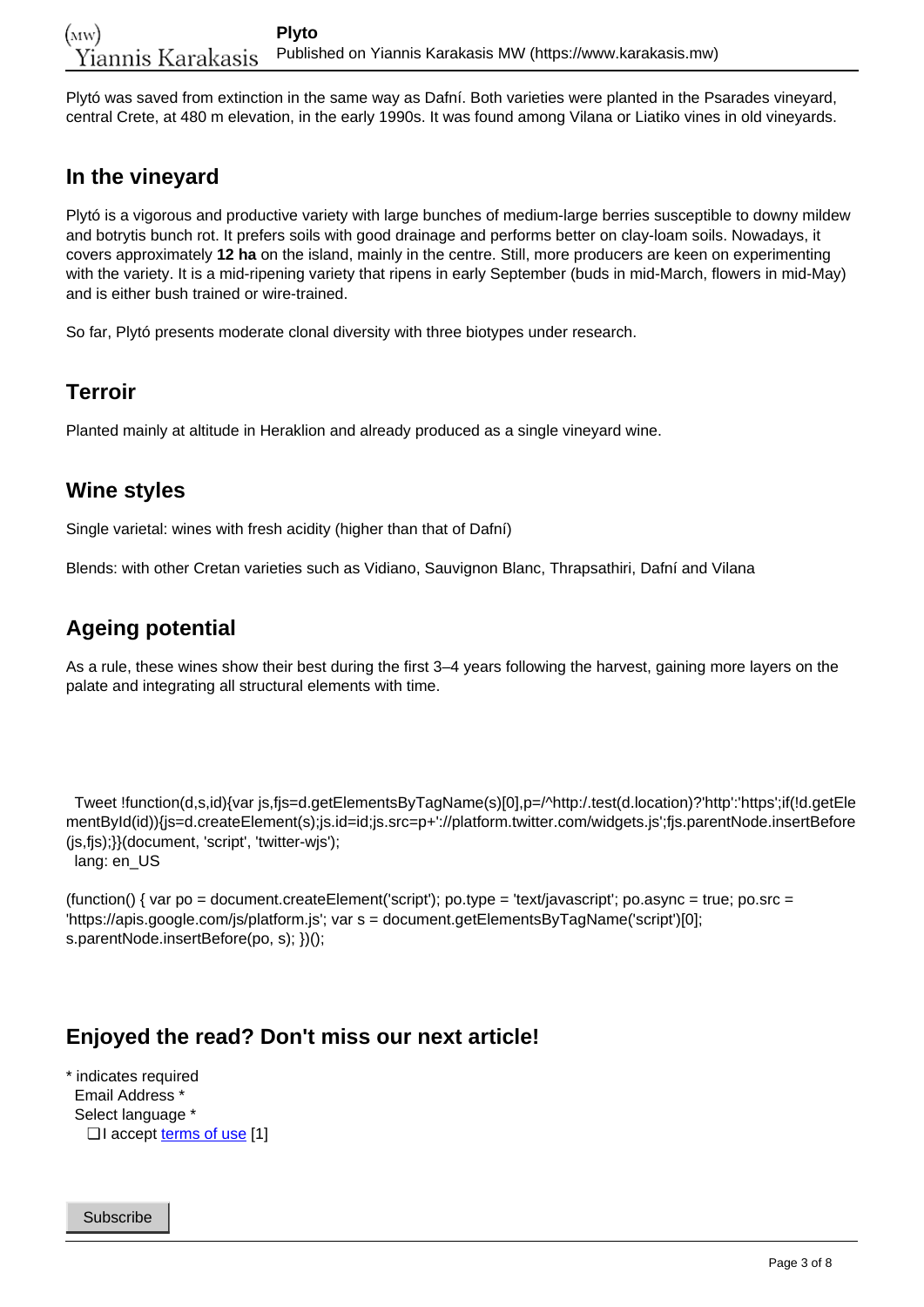Plytó was saved from extinction in the same way as Dafní. Both varieties were planted in the Psarades vineyard, central Crete, at 480 m elevation, in the early 1990s. It was found among Vilana or Liatiko vines in old vineyards.

#### **In the vineyard**

Plytó is a vigorous and productive variety with large bunches of medium-large berries susceptible to downy mildew and botrytis bunch rot. It prefers soils with good drainage and performs better on clay-loam soils. Nowadays, it covers approximately **12 ha** on the island, mainly in the centre. Still, more producers are keen on experimenting with the variety. It is a mid-ripening variety that ripens in early September (buds in mid-March, flowers in mid-May) and is either bush trained or wire-trained.

So far, Plytó presents moderate clonal diversity with three biotypes under research.

#### **Terroir**

Planted mainly at altitude in Heraklion and already produced as a single vineyard wine.

#### **Wine styles**

Single varietal: wines with fresh acidity (higher than that of Dafní)

Blends: with other Cretan varieties such as Vidiano, Sauvignon Blanc, Thrapsathiri, Dafní and Vilana

### **Ageing potential**

As a rule, these wines show their best during the first 3–4 years following the harvest, gaining more layers on the palate and integrating all structural elements with time.

 Tweet !function(d,s,id){var js,fjs=d.getElementsByTagName(s)[0],p=/^http:/.test(d.location)?'http':'https';if(!d.getEle mentById(id)){js=d.createElement(s);js.id=id;js.src=p+'://platform.twitter.com/widgets.js';fjs.parentNode.insertBefore (js,fjs);}}(document, 'script', 'twitter-wjs'); lang: en\_US

(function() { var po = document.createElement('script'); po.type = 'text/javascript'; po.async = true; po.src = 'https://apis.google.com/js/platform.js'; var s = document.getElementsByTagName('script')[0]; s.parentNode.insertBefore(po, s); })();

#### **Enjoyed the read? Don't miss our next article!**

\* indicates required Email Address \* Select language \* □ I accept <u>[terms of use](https://www.karakasis.mw/policy)</u> [1]

Subscribe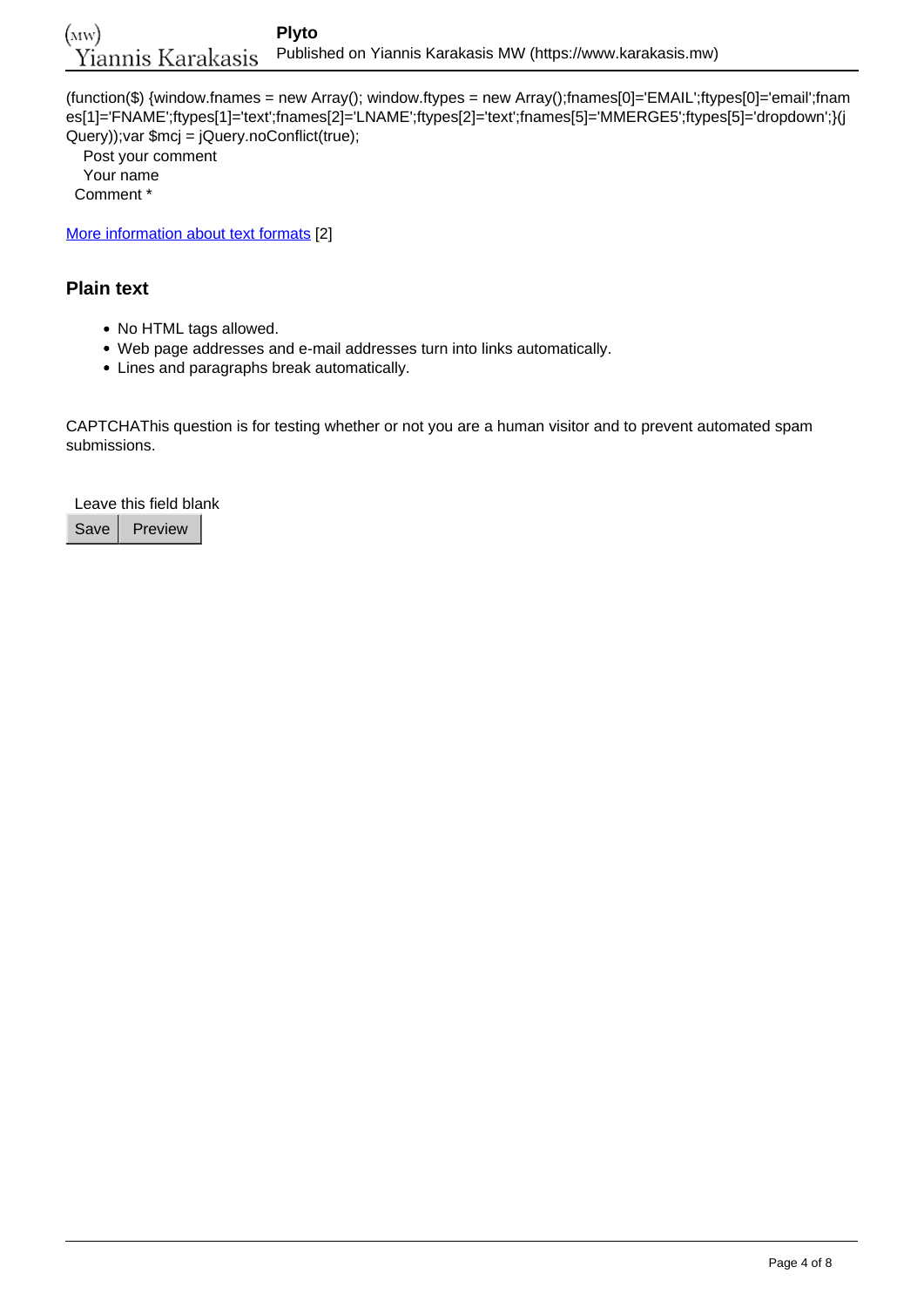(function(\$) {window.fnames = new Array(); window.ftypes = new Array();fnames[0]='EMAIL';ftypes[0]='email';fnam es[1]='FNAME';ftypes[1]='text';fnames[2]='LNAME';ftypes[2]='text';fnames[5]='MMERGE5';ftypes[5]='dropdown';}(j Query));var \$mcj = jQuery.noConflict(true);

 Post your comment Your name Comment \*

[More information about text formats](https://www.karakasis.mw/filter/tips) [2]

#### **Plain text**

- No HTML tags allowed.
- Web page addresses and e-mail addresses turn into links automatically.
- Lines and paragraphs break automatically.

CAPTCHAThis question is for testing whether or not you are a human visitor and to prevent automated spam submissions.

Leave this field blank

Save | Preview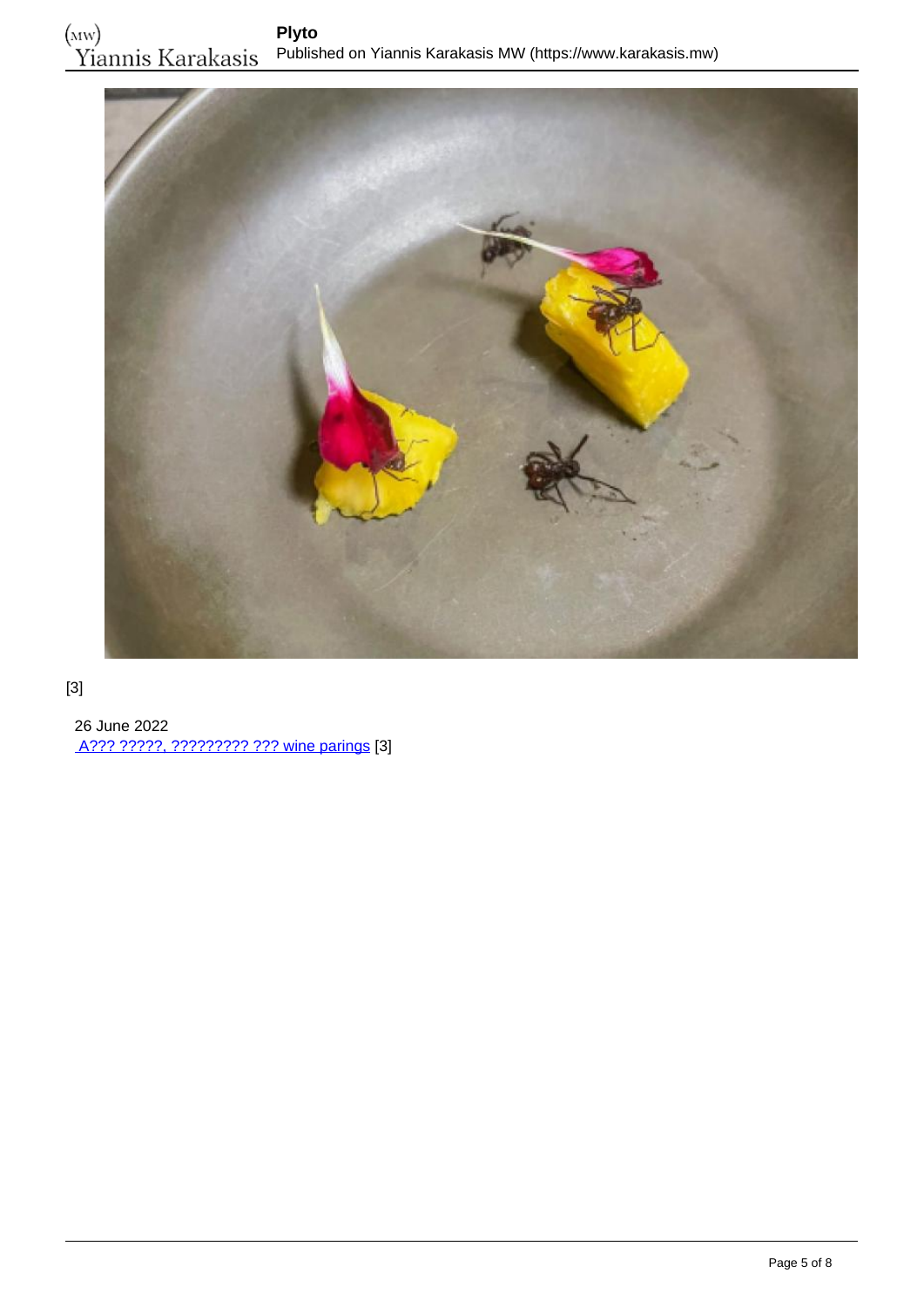

#### [3]

 26 June 2022 [A??? ?????, ????????? ??? wine parings](https://www.karakasis.mw/alex-atala-myrmigkia-kai-wine-parings) [3]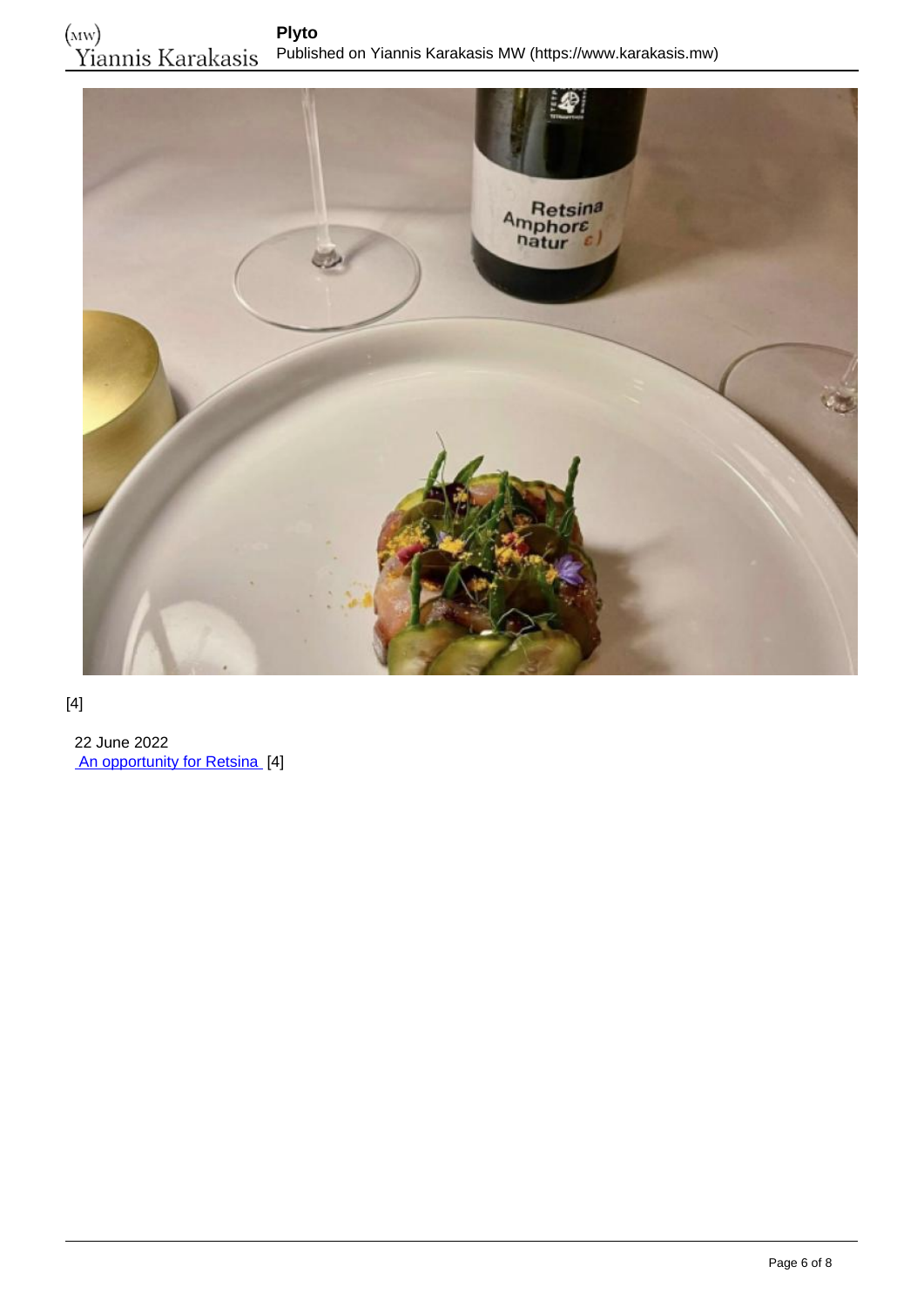

#### [4]

 22 June 2022 [An opportunity for Retsina](https://www.karakasis.mw/opportunity-resinated-wine) [4]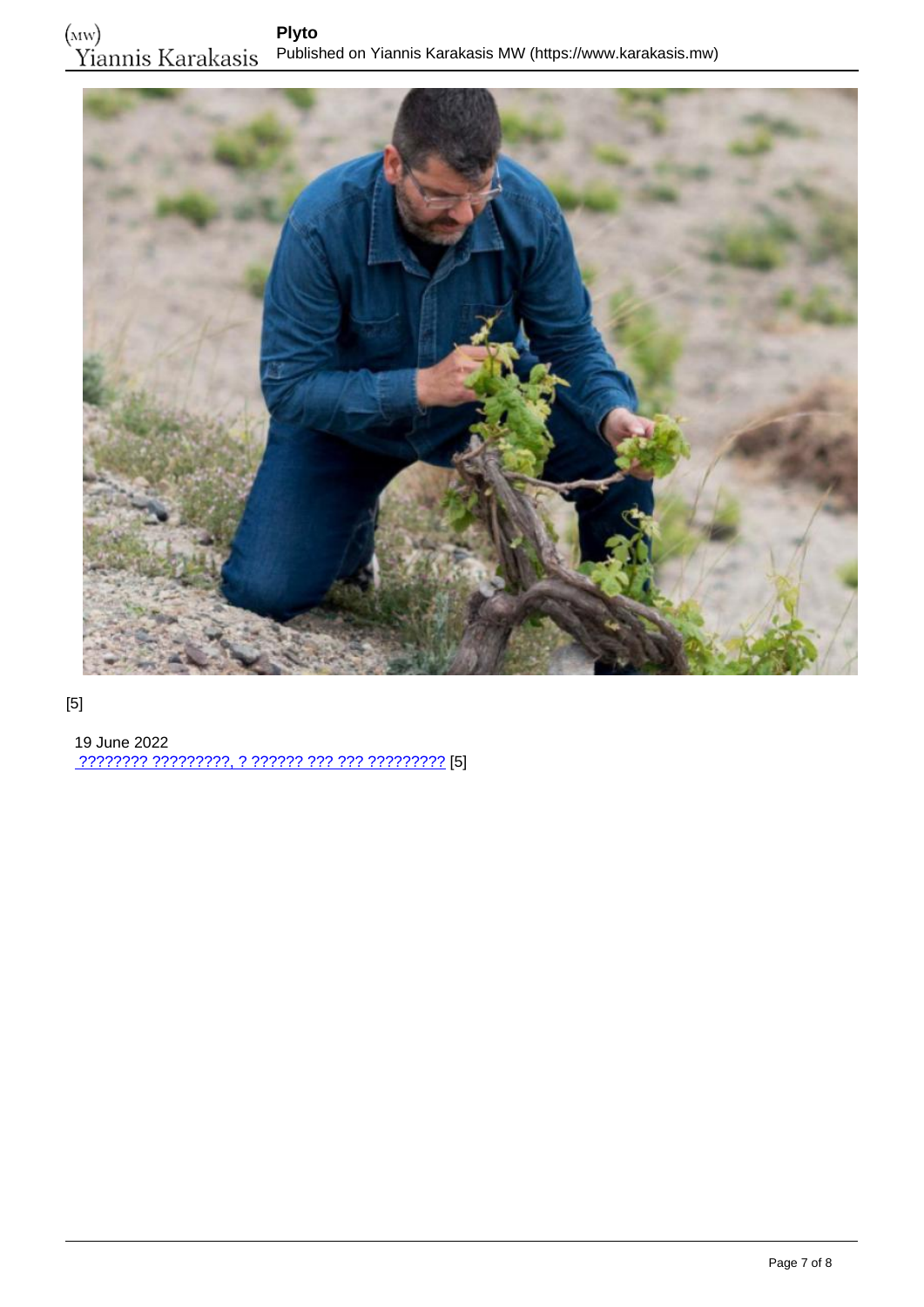

#### [5]

 19 June 2022 [???????? ?????????, ? ?????? ??? ??? ?????????](https://www.karakasis.mw/anydroys) [5]